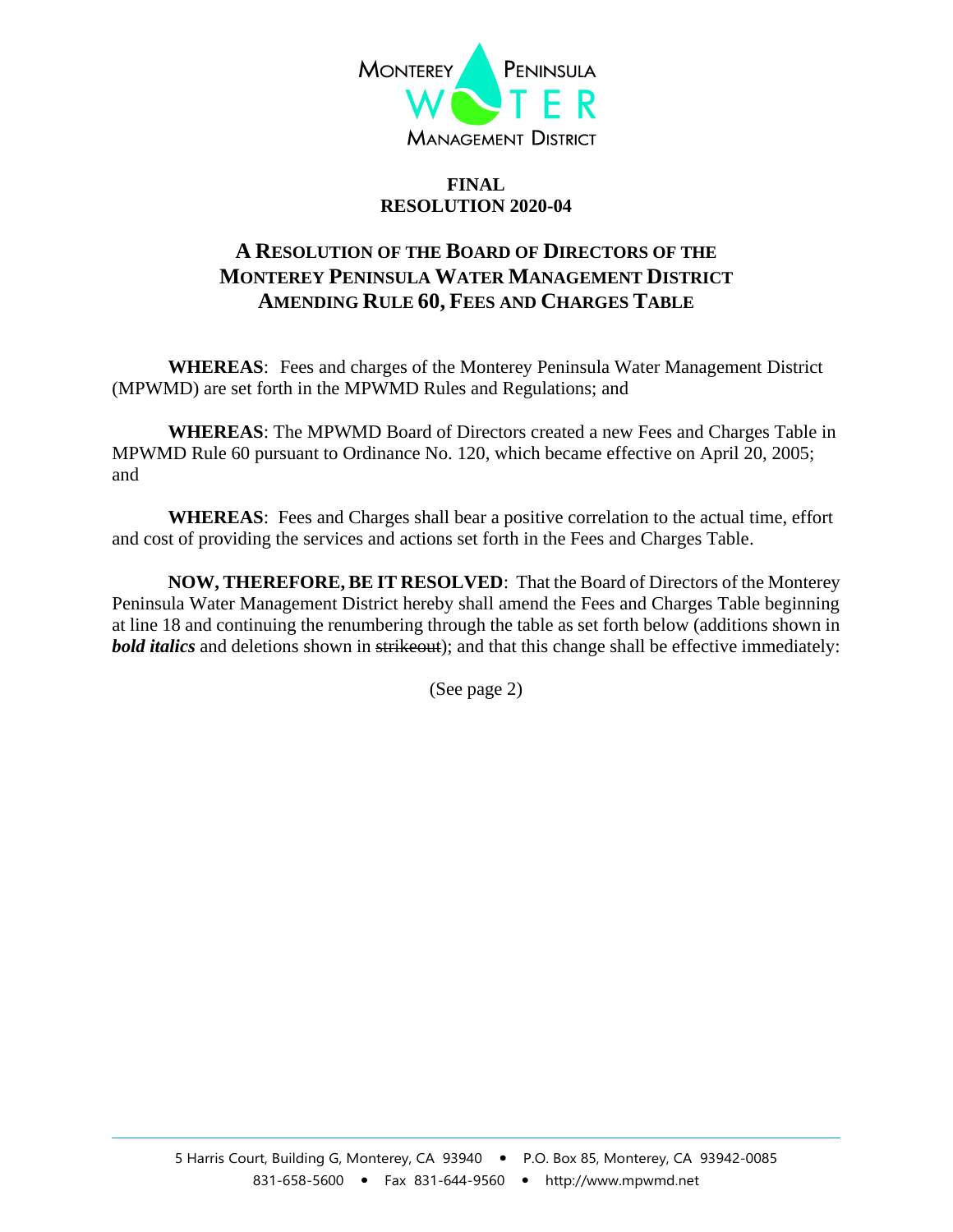

## **FINAL RESOLUTION 2020-04**

## **A RESOLUTION OF THE BOARD OF DIRECTORS OF THE MONTEREY PENINSULA WATER MANAGEMENT DISTRICT AMENDING RULE 60, FEES AND CHARGES TABLE**

**WHEREAS**: Fees and charges of the Monterey Peninsula Water Management District (MPWMD) are set forth in the MPWMD Rules and Regulations; and

**WHEREAS**: The MPWMD Board of Directors created a new Fees and Charges Table in MPWMD Rule 60 pursuant to Ordinance No. 120, which became effective on April 20, 2005; and

**WHEREAS**: Fees and Charges shall bear a positive correlation to the actual time, effort and cost of providing the services and actions set forth in the Fees and Charges Table.

**NOW, THEREFORE, BE IT RESOLVED**: That the Board of Directors of the Monterey Peninsula Water Management District hereby shall amend the Fees and Charges Table beginning at line 18 and continuing the renumbering through the table as set forth below (additions shown in **bold italics** and deletions shown in strikeout); and that this change shall be effective immediately:

(See page 2)